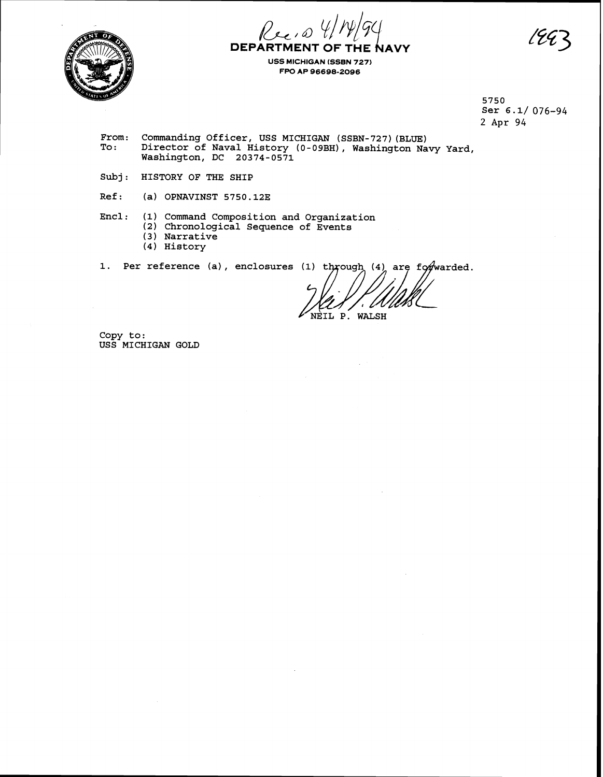Recio **DEPARTMENT OF TI NAVY** 



**USS MICHIGAN (SSBN 727) FPO AP 96698-2096** 

> 5750 Ser 6.1/ 076-94 2 Apr 94

From: Commanding Officer, USS MICHIGAN (SSBN-727) (BLUE)<br>To: Director of Naval History (0-09BH), Washington Na Director of Naval History (0-09BH), Washington Navy Yard, Washington, DC 20374-0571

Subj: HISTORY OF THE SHIP

Ref: (a) OPNAVINST 5750.12E

Encl: **(1)** Command Composition and Organization

**(2)** Chronological Sequence of Events

- **(3** ) Narrative
- (4) History

1. Per reference (a), enclosures (1) through (4) are forwarded.

NEIL P. WALSH

Copy to: USS MICHIGAN GOLD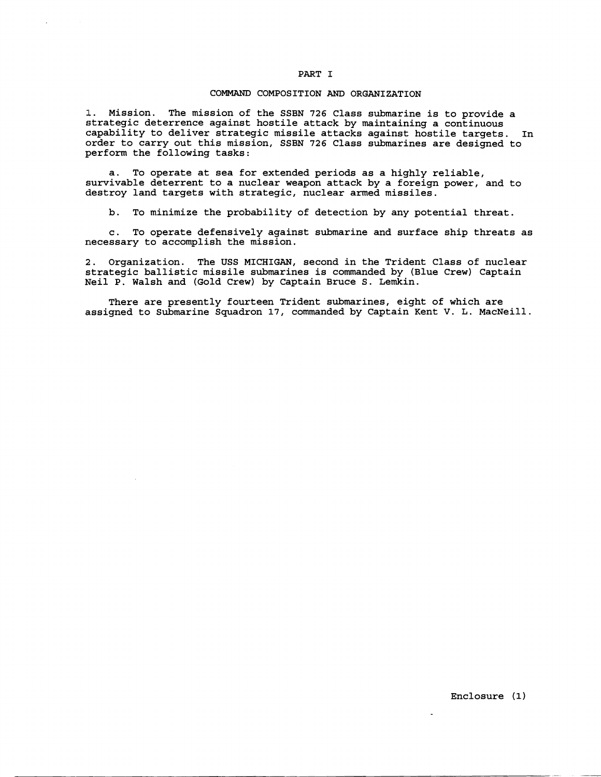#### PART I

#### COMMAND COMPOSITION AND ORGANIZATION

1. Mission. The mission of the SSBN **726** Class submarine is to provide a strategic deterrence against hostile attack by maintaining a continuous capability to deliver strategic missile attacks against hostile targets. In order to carry out this mission, SSBN **726** Class submarines are designed to perform the following tasks:

a. To operate at sea for extended periods as a highly reliable, survivable deterrent to a nuclear weapon attack by a foreign power, and to destroy land targets with strategic, nuclear armed missiles.

b. To minimize the probability of detection by any potential threat.

c. To operate defensively against submarine and surface ship threats as necessary to accomplish the mission.

**2:.** Organization. The USS MICHIGAN, second in the Trident Class of nuclear strategic ballistic missile submarines is commanded by (Blue Crew) Captain Neil P. Walsh and (Gold Crew) by Captain Bruce S. Lemkin.

There are presently fourteen Trident submarines, eight of which are assigned to Submarine Squadron 17, commanded by Captain Kent V. L. MacNeill.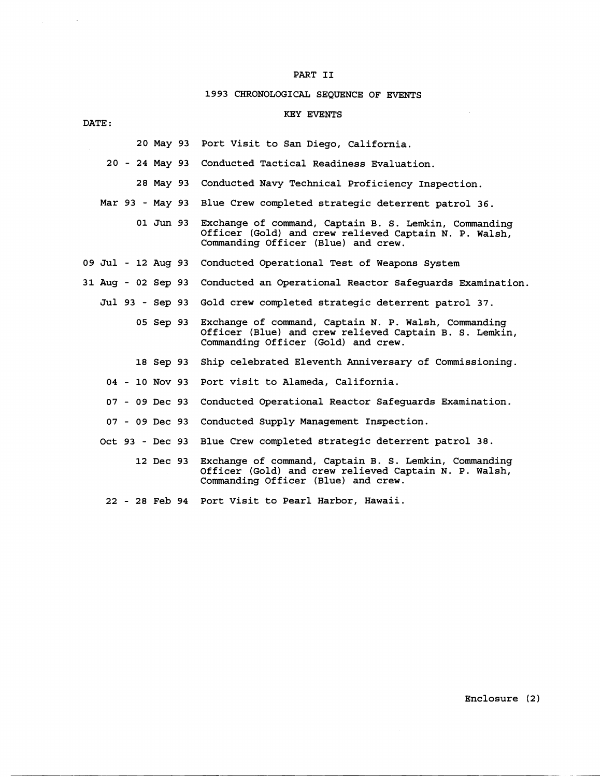### PART I1

## **1993** CHRONOLOGICAL SEQUENCE OF EVENTS

## KEY EVENTS

**20** May **93**  Port Visit to San Diego, California.

|  |  |                  | 20 - 24 May 93 Conducted Tactical Readiness Evaluation.                                                                                                         |
|--|--|------------------|-----------------------------------------------------------------------------------------------------------------------------------------------------------------|
|  |  | 28 May 93        | Conducted Navy Technical Proficiency Inspection.                                                                                                                |
|  |  |                  | Mar 93 - May 93 Blue Crew completed strategic deterrent patrol 36.                                                                                              |
|  |  | 01 Jun 93        | Exchange of command, Captain B. S. Lemkin, Commanding<br>Officer (Gold) and crew relieved Captain N. P. Walsh,<br>Commanding Officer (Blue) and crew.           |
|  |  |                  | 09 Jul - 12 Aug 93 Conducted Operational Test of Weapons System                                                                                                 |
|  |  |                  | 31 Aug - 02 Sep 93 Conducted an Operational Reactor Safeguards Examination.                                                                                     |
|  |  |                  | Jul 93 - Sep 93 Gold crew completed strategic deterrent patrol 37.                                                                                              |
|  |  |                  | 05 Sep 93 Exchange of command, Captain N. P. Walsh, Commanding<br>Officer (Blue) and crew relieved Captain B. S. Lemkin,<br>Commanding Officer (Gold) and crew. |
|  |  |                  | 18 Sep 93 Ship celebrated Eleventh Anniversary of Commissioning.                                                                                                |
|  |  | $04 - 10$ Nov 93 | Port visit to Alameda, California.                                                                                                                              |
|  |  | 07 - 09 Dec 93   | Conducted Operational Reactor Safeguards Examination.                                                                                                           |
|  |  | 07 - 09 Dec 93   | Conducted Supply Management Inspection.                                                                                                                         |
|  |  |                  | Oct 93 - Dec 93 Blue Crew completed strategic deterrent patrol 38.                                                                                              |
|  |  |                  | 12 Dec 93 Exchange of command, Captain B. S. Lemkin, Commanding<br>Officer (Gold) and crew relieved Captain N. P. Walsh,                                        |

Commanding Officer (Blue) and crew.

**22** - **28** Feb **94**  Port Visit to Pearl Harbor, Hawaii.

DATE :

 $\sim 10^7$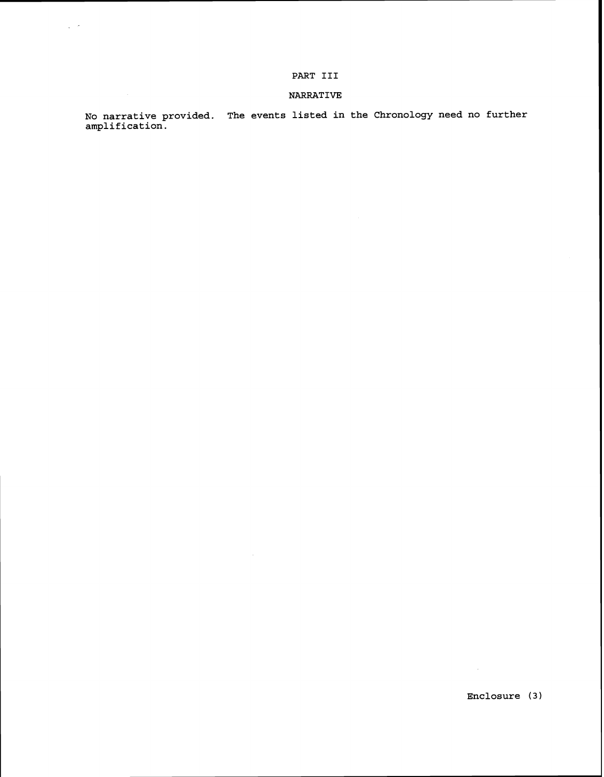## PART **I11**

 $\frac{1}{2}$  ,  $\frac{1}{2}$ 

## **NARRATIVE**

**No narrative provided. The events listed in the Chronology need no further amplification.** 

**Enclosure (3** )

 $\sim 10^{11}$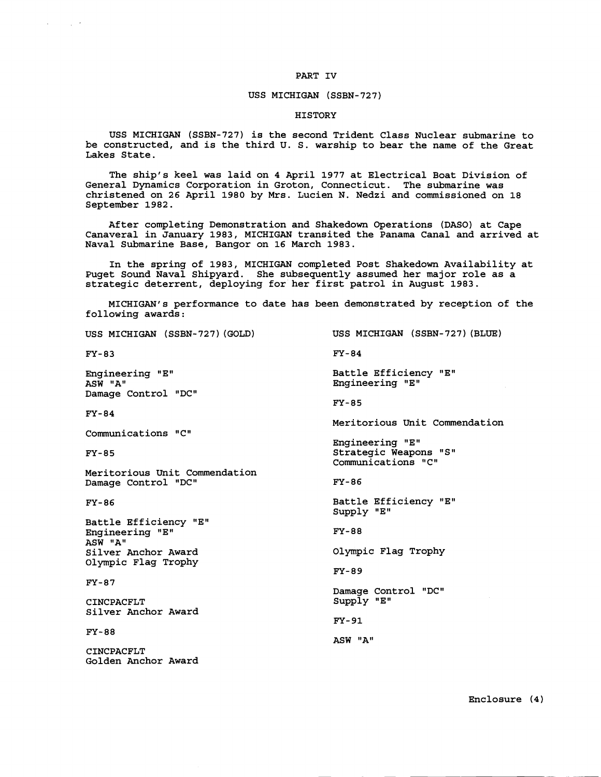#### PART IV

 $\sim 10^{-2}$ 

#### USS MICHIGAN (SSBN-727)

### HISTORY

USS MICHIGAN (SSBN-727) is the second Trident Class Nuclear submarine to be constructed, and is the third U. S. warship to bear the name of the Great Lakes State.

The ship's keel was laid on 4 April 1977 at Electrical Boat Division of General Dynamics Corporation in Groton, Connecticut. The submarine was christened on 26 April 1980 by Mrs. Lucien N. Nedzi and commissioned on 18 September 1982.

After completing Demonstration and Shakedown Operations (DASO) at Cape Canaveral in January 1983, MICHIGAN transited the Panama Canal and arrived at Naval Submarine Base, Bangor on 16 March 1983.

In the spring of 1983, MICHIGAN completed Post Shakedown Availability at Puget Sound Naval Shipyard. She subsequently assumed her major role as a strategic deterrent, deploying for her first patrol in August 1983.

MICHIGAN'S performance to date has been demonstrated by reception of the following awards:

USS MICHIGAN (SSBN-727) (GOLD) USS MICHIGAN (SSBN-727) (BLUE) FY-83 FY-84 Engineering "E" Battle Efficiency "E" ASW "A" Engineering "E" Damage Control "DC" **FY-85**  $FY-84$ Meritorious Unit Commendation Communications "C" Engineering "En Strategic Weapons "S"  $FY-85$ Communications "C" Meritorious Unit Commendation Damage Control "DC" FY-86 Battle Efficiency "En FY-86 Supply "E" Battle Efficiency "E" Engineering "E" **FY-88** ASW "A" Silver Anchor Award Olympic Flag Trophy Olympic Flag Trophy FY-89  $FY-87$ Damage Control "DC" CINCPACFLT Supply "E" Silver Anchor Award FY-91 **FY-88** ASW "A" CINCPACFLT Golden Anchor Award

Enclosure **(4)**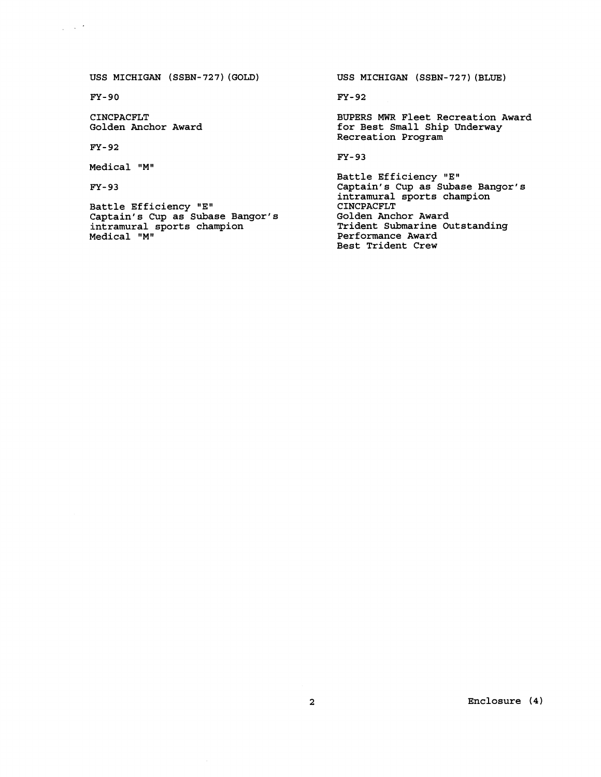USS MICHIGAN (SSBN-727) (GOLD)

 $FY-90$ 

 $\chi \to \pi^0$ 

CINCPACFLT Golden Anchor Award

 $FY-92$ 

Medical "M"

FY- 93

Battle Efficiency "E" Captain's Cup as Subase Bangor's intramural sports champion Medical "M"

USS MICHIGAN (SSBN-727) (BLUE)

FY- 92

BUPERS MWR Fleet Recreation Award for Best Small Ship Underway Recreation Program

FY- **93** 

Battle Efficiency "E" Captain's Cup as Subase Bangor's intramural sports champion CINCPACFLT Golden Anchor Award Trident Submarine Outstanding Performance Award Best Trident Crew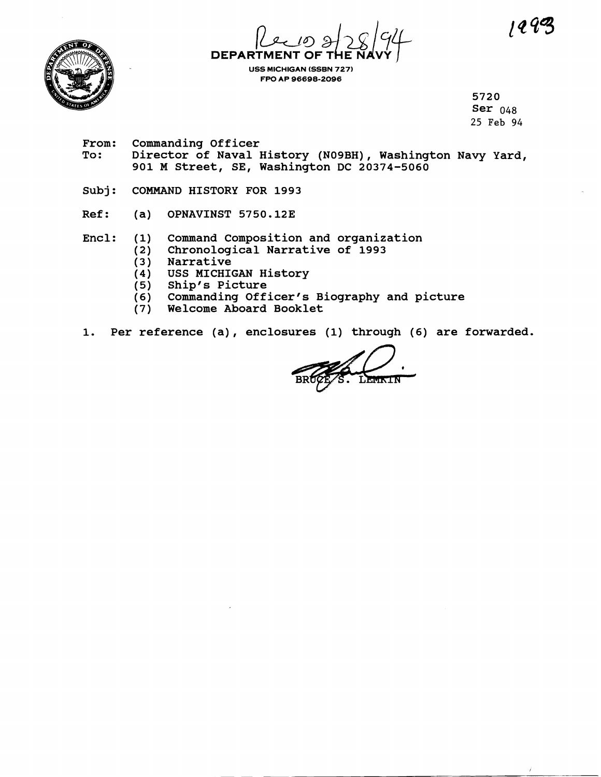$1292$ 

ź.



**DEPARTMENT** 

**USS MICHIGAN (SSBN 727) FPO AP 96698-2096** 

> **5720 Ser 048 25 Feb** 94

- **From: Commanding Officer To: Director of Naval History (NOgBH), Washington Navy Yard, 901 M Street, SE, Washington DC 20374-5060**
- **Subj: COMMAND HISTORY FOR 1993**
- **Ref:** (a) OPNAVINST 5750.12E
- **Encl: (1) Command Composition and organization** 
	- **(2) Chronological Narrative of 1993** 
		- **(3** ) **Narrative**
		- **(4) USS MICHIGAN History**
		- **(5) Ship's Picture**
		- **(6) Commanding Officer's Biography and picture**
		- **(7) Welcome Aboard Booklet**
- **1. Per reference (a)** , **enclosures (1) through (6) are forwarded.**

LEWININ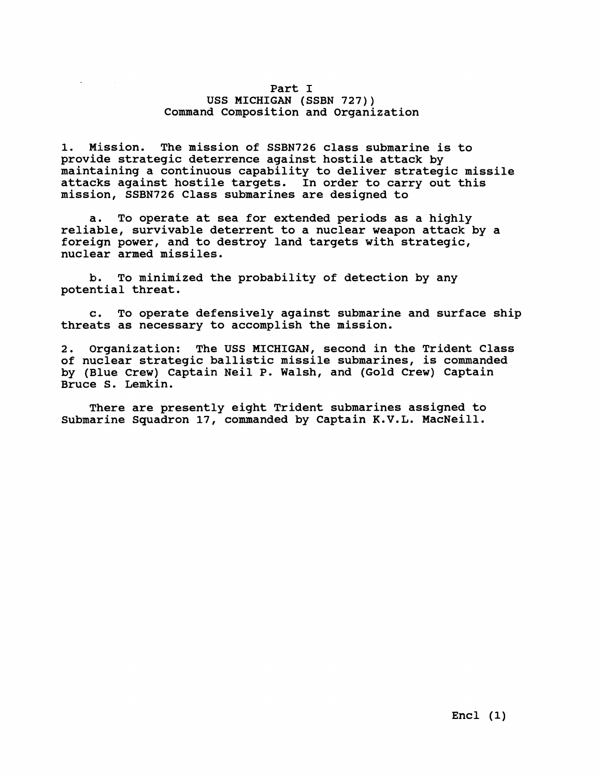## **Part I USS MICHIGAN (SSBN 727)) Command Composition and Organization**

**1. Mission. The mission of SSBN726 class submarine is to provide strategic deterrence against hostile attack by maimtaining a continuous capability to deliver strategic missile attacks against hostile targets. In order to carry out this mission, SSBN726 Class submarines are designed to** 

**a. To operate at sea for extended periods as a highly reliable, survivable deterrent to a nuclear weapon attack by a foreign power, and to destroy land targets with strategic, nuclear armed missiles.** 

**b. To minimized the probability of detection by any potential threat.** 

**c. To operate defensively against submarine and surface ship threats as necessary to accomplish the mission.** 

**2. Organization: The USS MICHIGAN, second in the Trident Class of nuclear strategic ballistic missile submarines, is commanded by (Blue Crew) Captain Neil P. Walsh, and (Gold Crew) Captain Bruce S. Lemkin.** 

**There are presently eight Trident submarines assigned to Submarine Squadron 17, commanded by Captain K.V.L. MacNeill.**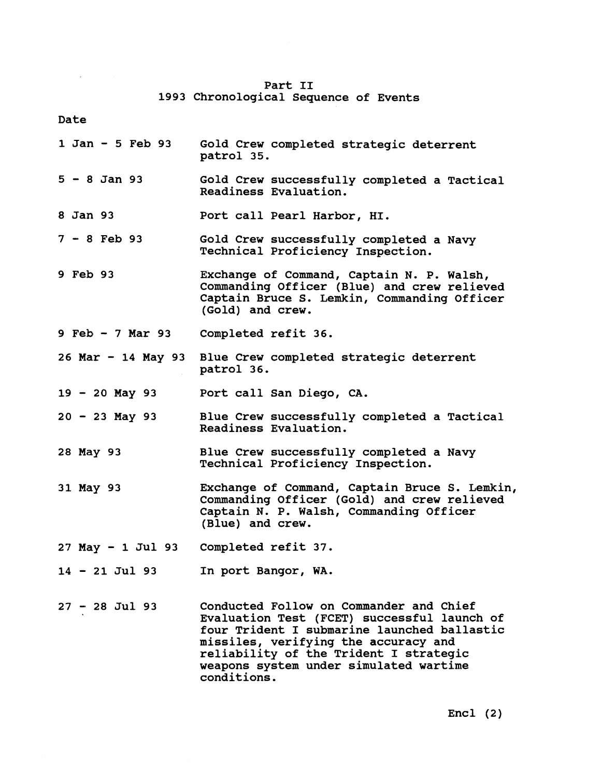| Part II |                                       |  |  |  |  |  |
|---------|---------------------------------------|--|--|--|--|--|
|         | 1993 Chronological Sequence of Events |  |  |  |  |  |

**Date** 

 $\mathcal{L}^{\text{max}}_{\text{max}}$  and  $\mathcal{L}^{\text{max}}_{\text{max}}$ 

| 1 Jan - 5 Feb 93     | Gold Crew completed strategic deterrent<br>patrol 35.                                                                                                                                                                                                                            |
|----------------------|----------------------------------------------------------------------------------------------------------------------------------------------------------------------------------------------------------------------------------------------------------------------------------|
| $5 - 8$ Jan 93       | Gold Crew successfully completed a Tactical<br>Readiness Evaluation.                                                                                                                                                                                                             |
| 8 Jan 93             | Port call Pearl Harbor, HI.                                                                                                                                                                                                                                                      |
| $7 - 8$ Feb 93       | Gold Crew successfully completed a Navy<br>Technical Proficiency Inspection.                                                                                                                                                                                                     |
| 9 Feb 93             | Exchange of Command, Captain N. P. Walsh,<br>Commanding Officer (Blue) and crew relieved<br>Captain Bruce S. Lemkin, Commanding Officer<br>(Gold) and crew.                                                                                                                      |
| 9 Feb - 7 Mar 93     | Completed refit 36.                                                                                                                                                                                                                                                              |
|                      | 26 Mar - 14 May 93 Blue Crew completed strategic deterrent<br>patrol 36.                                                                                                                                                                                                         |
| $19 - 20$ May 93     | Port call San Diego, CA.                                                                                                                                                                                                                                                         |
| $20 - 23$ May 93     | Blue Crew successfully completed a Tactical<br>Readiness Evaluation.                                                                                                                                                                                                             |
| 28 May 93            | Blue Crew successfully completed a Navy<br>Technical Proficiency Inspection.                                                                                                                                                                                                     |
| 31 May 93            | Exchange of Command, Captain Bruce S. Lemkin,<br>Commanding Officer (Gold) and crew relieved<br>Captain N. P. Walsh, Commanding Officer<br>(Blue) and crew.                                                                                                                      |
| $27$ May $-1$ Jul 93 | Completed refit 37.                                                                                                                                                                                                                                                              |
| $14 - 21$ Jul 93     | In port Bangor, WA.                                                                                                                                                                                                                                                              |
| $27 - 28$ Jul 93     | Conducted Follow on Commander and Chief<br>Evaluation Test (FCET) successful launch of<br>four Trident I submarine launched ballastic<br>missiles, verifying the accuracy and<br>reliability of the Trident I strategic<br>weapons system under simulated wartime<br>conditions. |

**Encl (2)**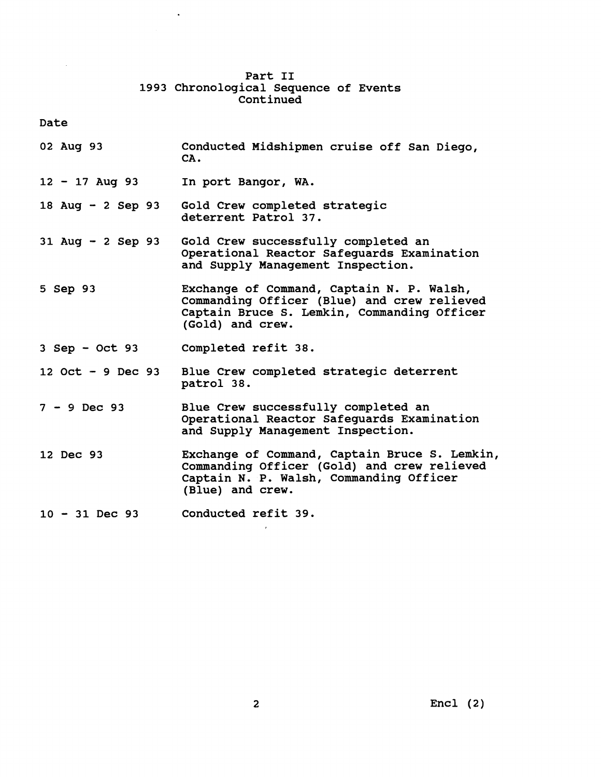# **Part I1 1993 chronological Sequence of Events Continued**

**Date** 

- **02 Aug 93 Conducted Midshipmen cruise off San Diego, CA** .
- **<sup>12</sup> 17 Aug 93 In port Bangor, WA.**

**18 Aug** - **2 Sep 93 Gold Crew completed strategic deterrent Patrol 37.** 

- **31 Aug 2 Sep 93 Gold Crew successfully completed an Operational Reactor Safeguards Examination and Supply Management Inspection.**
- **5 Sep 9:3 Exchange of Command, Captain N. P. Walsh, Commanding Officer (Blue) and crew relieved Captain Bruce S. Lemkin, Commanding Officer (Gold) and crew.**
- **3 Sep Oct 93 Completed refit 38.**

**12 Oct** - **9 Dec 93 Blue Crew completed strategic deterrent patrol 38.** 

- **<sup>7</sup> 9 Dec 93 Blue Crew successfully completed an Operational Reactor Safeguards Examination and Supply Management Inspection.**
- **12 Dec 93 Exchange of Command, Captain Bruce S. Lemkin, Commanding Officer (Gold) and crew relieved Captain N. P. Walsh, Commanding Officer (Blue) and crew.**

**<sup>10</sup>**- **31 Dec 93 Conducted refit 39.**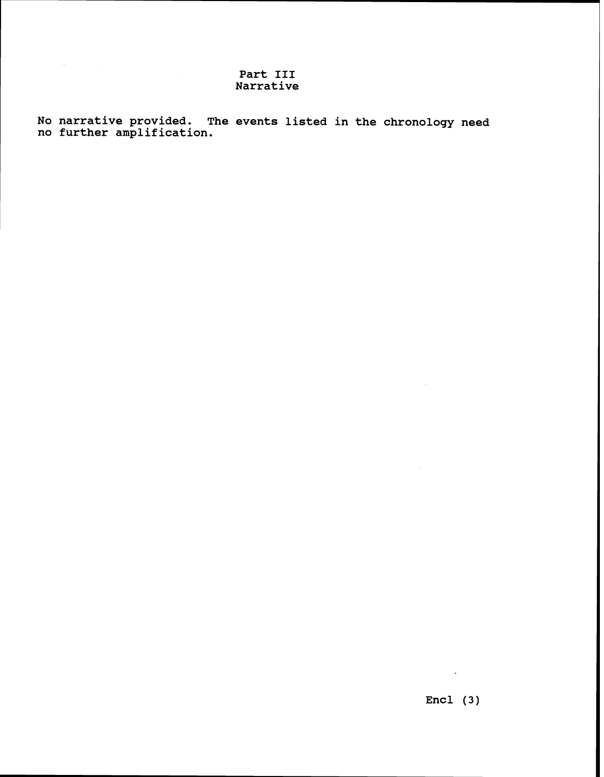# **Part I11 Narrative**

**No narrative provided. The events listed in the chronology need no further amplification.** 

 $\sim 100$ 

 $\sim$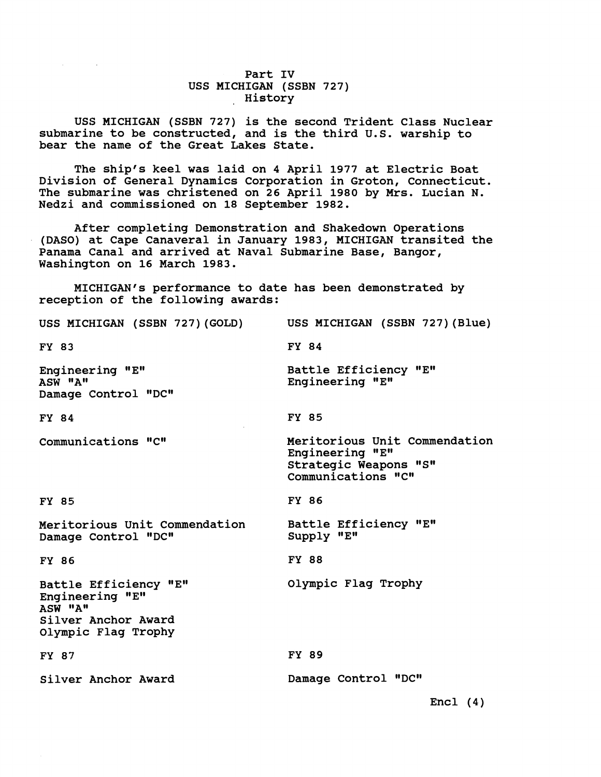**Part IV USS MICHIGAN (SSBN 727) History** 

USS MICHIGAN (SSBN 727) is the second Trident Class Nuclear submarine to be constructed, and is the third U.S. warship to **bear the name of the Great Lakes State.** 

**The ship's keel was laid on 4 April 1977 at Electric Boat Division of General Dynamics Corporation in Groton, Connecticut. The submarine was christened on 26 April 1980 by Mrs. Lucian N. Nedzi and commissioned on 18 September 1982.** 

**After completing Demonstration and Shakedown Operations (DASO) at Cape Canaveral in January 1983, MICHIGAN transited the Panama Canal and arrived at Naval Submarine Base, Bangor, Washington on 16 March 1983.** 

MICHIGAN's performance to date has been demonstrated by **reception of the following awards:** 

| USS MICHIGAN (SSBN 727)(GOLD)                                                                     | USS MICHIGAN (SSBN 727) (Blue)                                                                  |
|---------------------------------------------------------------------------------------------------|-------------------------------------------------------------------------------------------------|
| FY 83                                                                                             | FY 84                                                                                           |
| Engineering "E"<br>ASW "A"<br>Damage Control "DC"                                                 | Battle Efficiency "E"<br>Engineering "E"                                                        |
| FY 84                                                                                             | FY 85                                                                                           |
| Communications "C"                                                                                | Meritorious Unit Commendation<br>Engineering "E"<br>Strategic Weapons "S"<br>Communications "C" |
| FY 85                                                                                             | FY 86                                                                                           |
| Meritorious Unit Commendation<br>Damage Control "DC"                                              | Battle Efficiency "E"<br>Supply "E"                                                             |
| FY 86                                                                                             | <b>FY 88</b>                                                                                    |
| Battle Efficiency "E"<br>Engineering "E"<br>ASW "A"<br>Silver Anchor Award<br>Olympic Flag Trophy | Olympic Flag Trophy                                                                             |
| FY 87                                                                                             | FY 89                                                                                           |
| Silver Anchor Award                                                                               | Damage Control "DC"                                                                             |
|                                                                                                   | $Encl$ $(4)$                                                                                    |